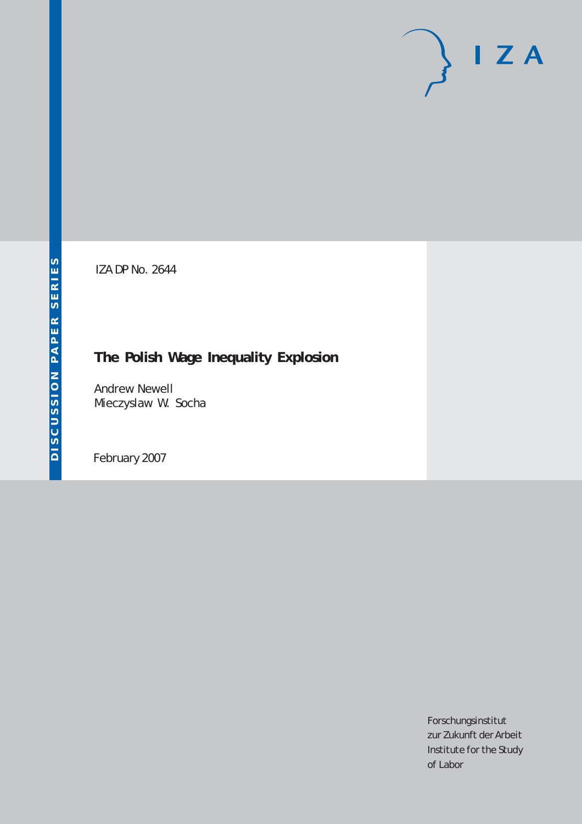# $\mathsf{I}$  Z A

IZA DP No. 2644

# **The Polish Wage Inequality Explosion**

Andrew Newell Mieczyslaw W. Socha

February 2007

Forschungsinstitut zur Zukunft der Arbeit Institute for the Study of Labor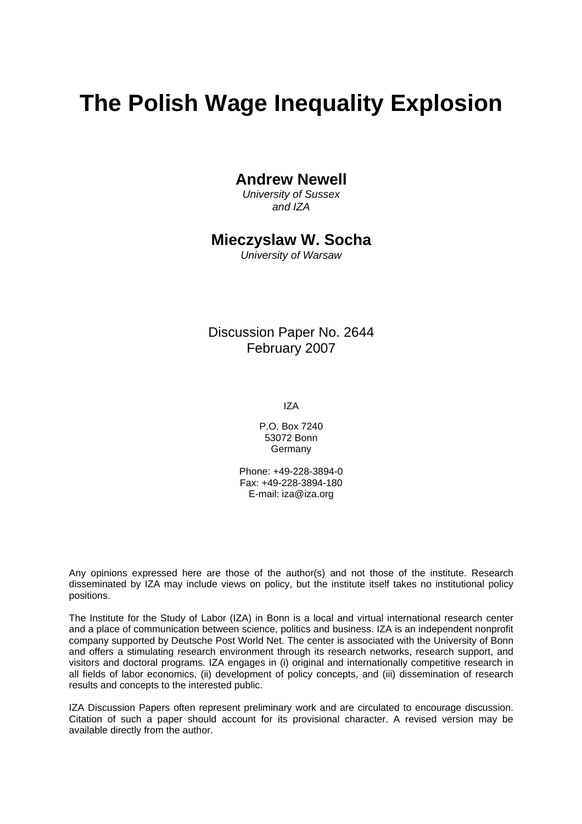# **The Polish Wage Inequality Explosion**

# **Andrew Newell**

*University of Sussex and IZA* 

## **Mieczyslaw W. Socha**

*University of Warsaw* 

Discussion Paper No. 2644 February 2007

IZA

P.O. Box 7240 53072 Bonn **Germany** 

Phone: +49-228-3894-0 Fax: +49-228-3894-180 E-mail: [iza@iza.org](mailto:iza@iza.org)

Any opinions expressed here are those of the author(s) and not those of the institute. Research disseminated by IZA may include views on policy, but the institute itself takes no institutional policy positions.

The Institute for the Study of Labor (IZA) in Bonn is a local and virtual international research center and a place of communication between science, politics and business. IZA is an independent nonprofit company supported by Deutsche Post World Net. The center is associated with the University of Bonn and offers a stimulating research environment through its research networks, research support, and visitors and doctoral programs. IZA engages in (i) original and internationally competitive research in all fields of labor economics, (ii) development of policy concepts, and (iii) dissemination of research results and concepts to the interested public.

IZA Discussion Papers often represent preliminary work and are circulated to encourage discussion. Citation of such a paper should account for its provisional character. A revised version may be available directly from the author.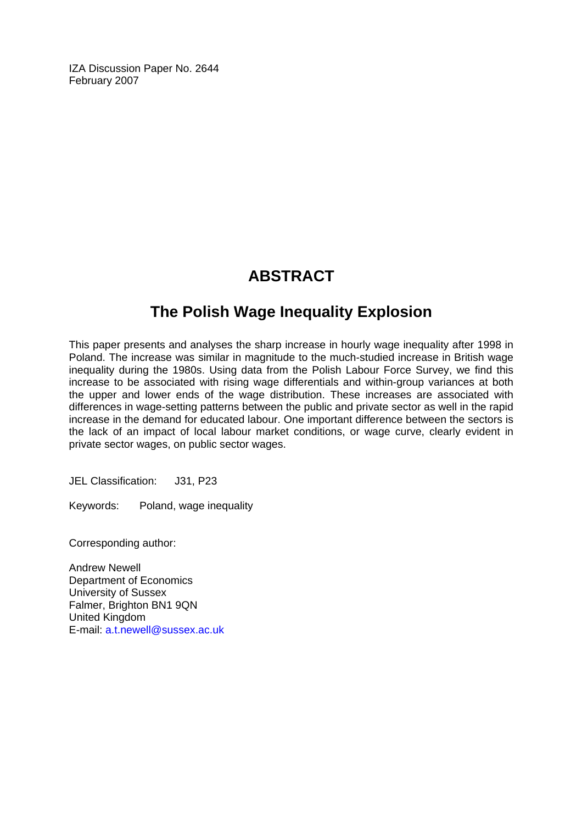IZA Discussion Paper No. 2644 February 2007

# **ABSTRACT**

# **The Polish Wage Inequality Explosion**

This paper presents and analyses the sharp increase in hourly wage inequality after 1998 in Poland. The increase was similar in magnitude to the much-studied increase in British wage inequality during the 1980s. Using data from the Polish Labour Force Survey, we find this increase to be associated with rising wage differentials and within-group variances at both the upper and lower ends of the wage distribution. These increases are associated with differences in wage-setting patterns between the public and private sector as well in the rapid increase in the demand for educated labour. One important difference between the sectors is the lack of an impact of local labour market conditions, or wage curve, clearly evident in private sector wages, on public sector wages.

JEL Classification: J31, P23

Keywords: Poland, wage inequality

Corresponding author:

Andrew Newell Department of Economics University of Sussex Falmer, Brighton BN1 9QN United Kingdom E-mail: [a.t.newell@sussex.ac.uk](mailto:a.t.newell@sussex.ac.uk)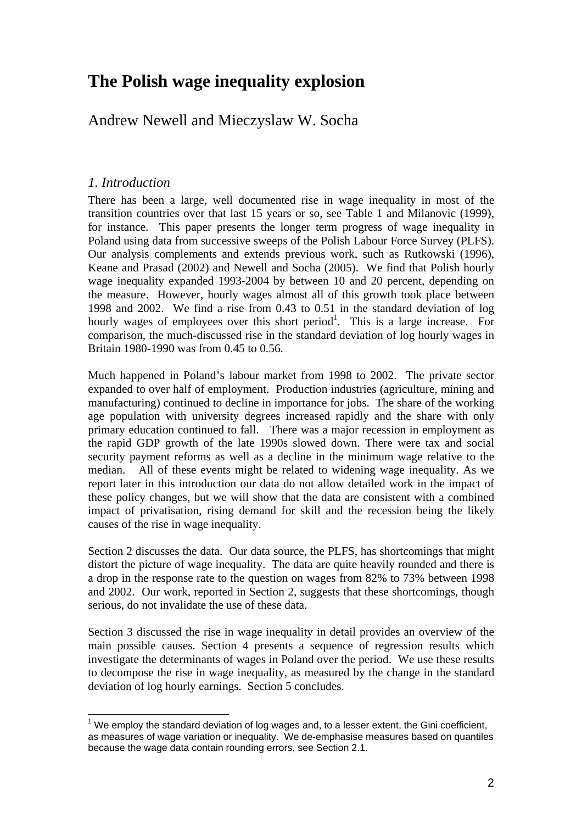# **The Polish wage inequality explosion**

# Andrew Newell and Mieczyslaw W. Socha

#### *1. Introduction*

There has been a large, well documented rise in wage inequality in most of the transition countries over that last 15 years or so, see Table 1 and Milanovic (1999), for instance. This paper presents the longer term progress of wage inequality in Poland using data from successive sweeps of the Polish Labour Force Survey (PLFS). Our analysis complements and extends previous work, such as Rutkowski (1996), Keane and Prasad (2002) and Newell and Socha (2005). We find that Polish hourly wage inequality expanded 1993-2004 by between 10 and 20 percent, depending on the measure. However, hourly wages almost all of this growth took place between 1998 and 2002. We find a rise from 0.43 to 0.51 in the standard deviation of log hourly wages of employees over this short period<sup>[1](#page-3-0)</sup>. This is a large increase. For comparison, the much-discussed rise in the standard deviation of log hourly wages in Britain 1980-1990 was from 0.45 to 0.56.

Much happened in Poland's labour market from 1998 to 2002. The private sector expanded to over half of employment. Production industries (agriculture, mining and manufacturing) continued to decline in importance for jobs. The share of the working age population with university degrees increased rapidly and the share with only primary education continued to fall. There was a major recession in employment as the rapid GDP growth of the late 1990s slowed down. There were tax and social security payment reforms as well as a decline in the minimum wage relative to the median. All of these events might be related to widening wage inequality. As we report later in this introduction our data do not allow detailed work in the impact of these policy changes, but we will show that the data are consistent with a combined impact of privatisation, rising demand for skill and the recession being the likely causes of the rise in wage inequality.

Section 2 discusses the data. Our data source, the PLFS, has shortcomings that might distort the picture of wage inequality. The data are quite heavily rounded and there is a drop in the response rate to the question on wages from 82% to 73% between 1998 and 2002. Our work, reported in Section 2, suggests that these shortcomings, though serious, do not invalidate the use of these data.

Section 3 discussed the rise in wage inequality in detail provides an overview of the main possible causes. Section 4 presents a sequence of regression results which investigate the determinants of wages in Poland over the period. We use these results to decompose the rise in wage inequality, as measured by the change in the standard deviation of log hourly earnings. Section 5 concludes.

<span id="page-3-0"></span><sup>————————————————————&</sup>lt;br><sup>1</sup> We employ the standard deviation of log wages and, to a lesser extent, the Gini coefficient, as measures of wage variation or inequality. We de-emphasise measures based on quantiles because the wage data contain rounding errors, see Section 2.1.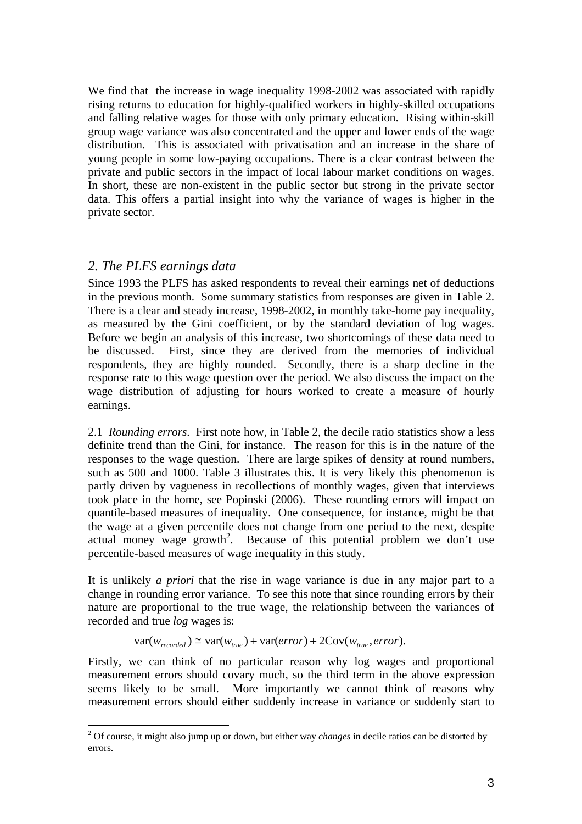We find that the increase in wage inequality 1998-2002 was associated with rapidly rising returns to education for highly-qualified workers in highly-skilled occupations and falling relative wages for those with only primary education. Rising within-skill group wage variance was also concentrated and the upper and lower ends of the wage distribution. This is associated with privatisation and an increase in the share of young people in some low-paying occupations. There is a clear contrast between the private and public sectors in the impact of local labour market conditions on wages. In short, these are non-existent in the public sector but strong in the private sector data. This offers a partial insight into why the variance of wages is higher in the private sector.

### *2. The PLFS earnings data*

Since 1993 the PLFS has asked respondents to reveal their earnings net of deductions in the previous month. Some summary statistics from responses are given in Table 2. There is a clear and steady increase, 1998-2002, in monthly take-home pay inequality, as measured by the Gini coefficient, or by the standard deviation of log wages. Before we begin an analysis of this increase, two shortcomings of these data need to be discussed. First, since they are derived from the memories of individual respondents, they are highly rounded. Secondly, there is a sharp decline in the response rate to this wage question over the period. We also discuss the impact on the wage distribution of adjusting for hours worked to create a measure of hourly earnings.

2.1 *Rounding errors*. First note how, in Table 2, the decile ratio statistics show a less definite trend than the Gini, for instance. The reason for this is in the nature of the responses to the wage question. There are large spikes of density at round numbers, such as 500 and 1000. Table 3 illustrates this. It is very likely this phenomenon is partly driven by vagueness in recollections of monthly wages, given that interviews took place in the home, see Popinski (2006). These rounding errors will impact on quantile-based measures of inequality. One consequence, for instance, might be that the wage at a given percentile does not change from one period to the next, despite actual money wage growth<sup>[2](#page-4-0)</sup>. Because of this potential problem we don't use percentile-based measures of wage inequality in this study.

It is unlikely *a priori* that the rise in wage variance is due in any major part to a change in rounding error variance. To see this note that since rounding errors by their nature are proportional to the true wage, the relationship between the variances of recorded and true *log* wages is:

$$
var(w_{recorded}) \cong var(w_{true}) + var(error) + 2Cov(w_{true}, error).
$$

Firstly, we can think of no particular reason why log wages and proportional measurement errors should covary much, so the third term in the above expression seems likely to be small. More importantly we cannot think of reasons why measurement errors should either suddenly increase in variance or suddenly start to

<span id="page-4-0"></span> $\frac{1}{2}$  Of course, it might also jump up or down, but either way *changes* in decile ratios can be distorted by errors.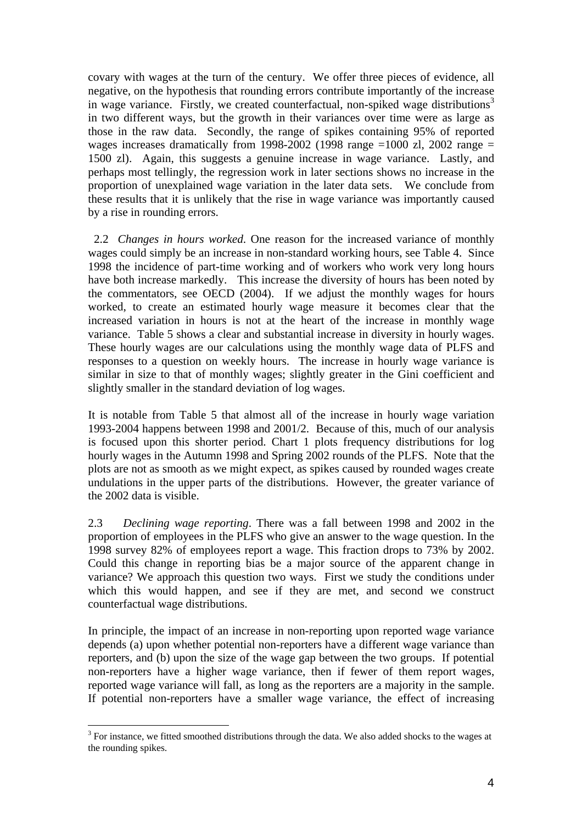covary with wages at the turn of the century. We offer three pieces of evidence, all negative, on the hypothesis that rounding errors contribute importantly of the increase in wage variance. Firstly, we created counterfactual, non-spiked wage distributions<sup>[3](#page-5-0)</sup> in two different ways, but the growth in their variances over time were as large as those in the raw data. Secondly, the range of spikes containing 95% of reported wages increases dramatically from 1998-2002 (1998 range =1000 zl, 2002 range = 1500 zl). Again, this suggests a genuine increase in wage variance. Lastly, and perhaps most tellingly, the regression work in later sections shows no increase in the proportion of unexplained wage variation in the later data sets. We conclude from these results that it is unlikely that the rise in wage variance was importantly caused by a rise in rounding errors.

 2.2 *Changes in hours worked*. One reason for the increased variance of monthly wages could simply be an increase in non-standard working hours, see Table 4. Since 1998 the incidence of part-time working and of workers who work very long hours have both increase markedly. This increase the diversity of hours has been noted by the commentators, see OECD (2004). If we adjust the monthly wages for hours worked, to create an estimated hourly wage measure it becomes clear that the increased variation in hours is not at the heart of the increase in monthly wage variance. Table 5 shows a clear and substantial increase in diversity in hourly wages. These hourly wages are our calculations using the monthly wage data of PLFS and responses to a question on weekly hours. The increase in hourly wage variance is similar in size to that of monthly wages; slightly greater in the Gini coefficient and slightly smaller in the standard deviation of log wages.

It is notable from Table 5 that almost all of the increase in hourly wage variation 1993-2004 happens between 1998 and 2001/2. Because of this, much of our analysis is focused upon this shorter period. Chart 1 plots frequency distributions for log hourly wages in the Autumn 1998 and Spring 2002 rounds of the PLFS. Note that the plots are not as smooth as we might expect, as spikes caused by rounded wages create undulations in the upper parts of the distributions. However, the greater variance of the 2002 data is visible.

2.3 *Declining wage reporting*. There was a fall between 1998 and 2002 in the proportion of employees in the PLFS who give an answer to the wage question. In the 1998 survey 82% of employees report a wage. This fraction drops to 73% by 2002. Could this change in reporting bias be a major source of the apparent change in variance? We approach this question two ways. First we study the conditions under which this would happen, and see if they are met, and second we construct counterfactual wage distributions.

In principle, the impact of an increase in non-reporting upon reported wage variance depends (a) upon whether potential non-reporters have a different wage variance than reporters, and (b) upon the size of the wage gap between the two groups. If potential non-reporters have a higher wage variance, then if fewer of them report wages, reported wage variance will fall, as long as the reporters are a majority in the sample. If potential non-reporters have a smaller wage variance, the effect of increasing

<span id="page-5-0"></span><sup>&</sup>lt;sup>2</sup><br>3  $3$  For instance, we fitted smoothed distributions through the data. We also added shocks to the wages at the rounding spikes.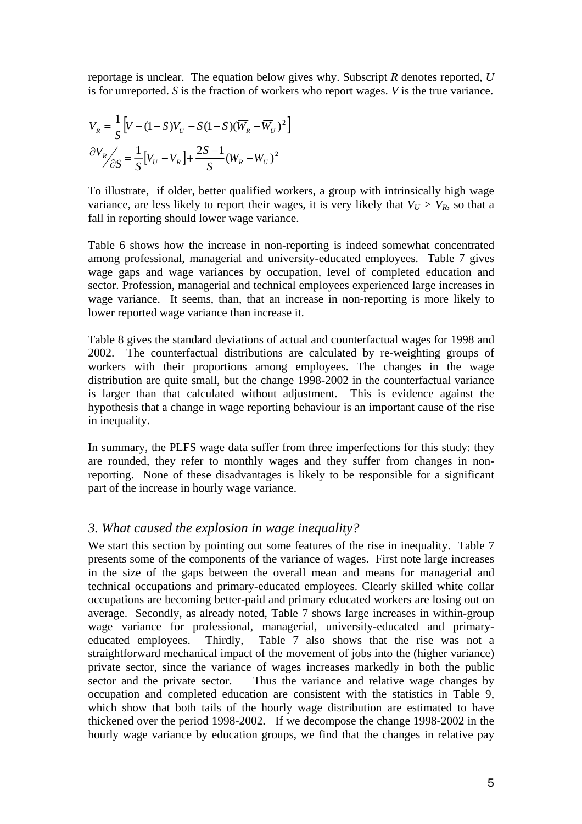reportage is unclear. The equation below gives why. Subscript *R* denotes reported, *U* is for unreported. *S* is the fraction of workers who report wages. *V* is the true variance.

$$
V_R = \frac{1}{S} \Big[ V - (1 - S)V_U - S(1 - S)(\overline{W}_R - \overline{W}_U)^2 \Big]
$$
  

$$
\frac{\partial V_R}{\partial S} = \frac{1}{S} \Big[ V_U - V_R \Big] + \frac{2S - 1}{S} (\overline{W}_R - \overline{W}_U)^2
$$

To illustrate, if older, better qualified workers, a group with intrinsically high wage variance, are less likely to report their wages, it is very likely that  $V_U > V_R$ , so that a fall in reporting should lower wage variance.

Table 6 shows how the increase in non-reporting is indeed somewhat concentrated among professional, managerial and university-educated employees. Table 7 gives wage gaps and wage variances by occupation, level of completed education and sector. Profession, managerial and technical employees experienced large increases in wage variance. It seems, than, that an increase in non-reporting is more likely to lower reported wage variance than increase it.

Table 8 gives the standard deviations of actual and counterfactual wages for 1998 and 2002. The counterfactual distributions are calculated by re-weighting groups of workers with their proportions among employees. The changes in the wage distribution are quite small, but the change 1998-2002 in the counterfactual variance is larger than that calculated without adjustment. This is evidence against the hypothesis that a change in wage reporting behaviour is an important cause of the rise in inequality.

In summary, the PLFS wage data suffer from three imperfections for this study: they are rounded, they refer to monthly wages and they suffer from changes in nonreporting. None of these disadvantages is likely to be responsible for a significant part of the increase in hourly wage variance.

#### *3. What caused the explosion in wage inequality?*

We start this section by pointing out some features of the rise in inequality. Table 7 presents some of the components of the variance of wages. First note large increases in the size of the gaps between the overall mean and means for managerial and technical occupations and primary-educated employees. Clearly skilled white collar occupations are becoming better-paid and primary educated workers are losing out on average. Secondly, as already noted, Table 7 shows large increases in within-group wage variance for professional, managerial, university-educated and primaryeducated employees. Thirdly, Table 7 also shows that the rise was not a straightforward mechanical impact of the movement of jobs into the (higher variance) private sector, since the variance of wages increases markedly in both the public sector and the private sector. Thus the variance and relative wage changes by occupation and completed education are consistent with the statistics in Table 9, which show that both tails of the hourly wage distribution are estimated to have thickened over the period 1998-2002. If we decompose the change 1998-2002 in the hourly wage variance by education groups, we find that the changes in relative pay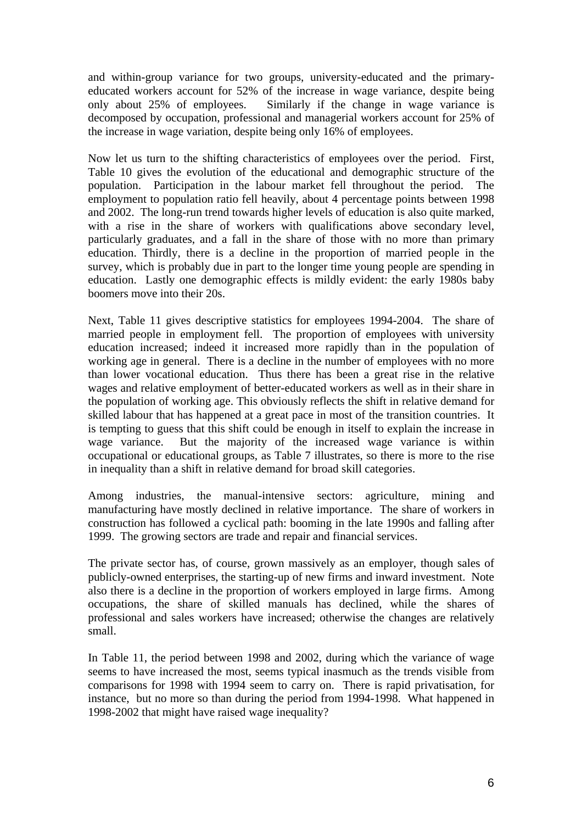and within-group variance for two groups, university-educated and the primaryeducated workers account for 52% of the increase in wage variance, despite being only about 25% of employees. Similarly if the change in wage variance is decomposed by occupation, professional and managerial workers account for 25% of the increase in wage variation, despite being only 16% of employees.

Now let us turn to the shifting characteristics of employees over the period. First, Table 10 gives the evolution of the educational and demographic structure of the population. Participation in the labour market fell throughout the period. The employment to population ratio fell heavily, about 4 percentage points between 1998 and 2002. The long-run trend towards higher levels of education is also quite marked, with a rise in the share of workers with qualifications above secondary level, particularly graduates, and a fall in the share of those with no more than primary education. Thirdly, there is a decline in the proportion of married people in the survey, which is probably due in part to the longer time young people are spending in education. Lastly one demographic effects is mildly evident: the early 1980s baby boomers move into their 20s.

Next, Table 11 gives descriptive statistics for employees 1994-2004. The share of married people in employment fell. The proportion of employees with university education increased; indeed it increased more rapidly than in the population of working age in general. There is a decline in the number of employees with no more than lower vocational education. Thus there has been a great rise in the relative wages and relative employment of better-educated workers as well as in their share in the population of working age. This obviously reflects the shift in relative demand for skilled labour that has happened at a great pace in most of the transition countries. It is tempting to guess that this shift could be enough in itself to explain the increase in wage variance. But the majority of the increased wage variance is within occupational or educational groups, as Table 7 illustrates, so there is more to the rise in inequality than a shift in relative demand for broad skill categories.

Among industries, the manual-intensive sectors: agriculture, mining and manufacturing have mostly declined in relative importance. The share of workers in construction has followed a cyclical path: booming in the late 1990s and falling after 1999. The growing sectors are trade and repair and financial services.

The private sector has, of course, grown massively as an employer, though sales of publicly-owned enterprises, the starting-up of new firms and inward investment. Note also there is a decline in the proportion of workers employed in large firms. Among occupations, the share of skilled manuals has declined, while the shares of professional and sales workers have increased; otherwise the changes are relatively small.

In Table 11, the period between 1998 and 2002, during which the variance of wage seems to have increased the most, seems typical inasmuch as the trends visible from comparisons for 1998 with 1994 seem to carry on. There is rapid privatisation, for instance, but no more so than during the period from 1994-1998. What happened in 1998-2002 that might have raised wage inequality?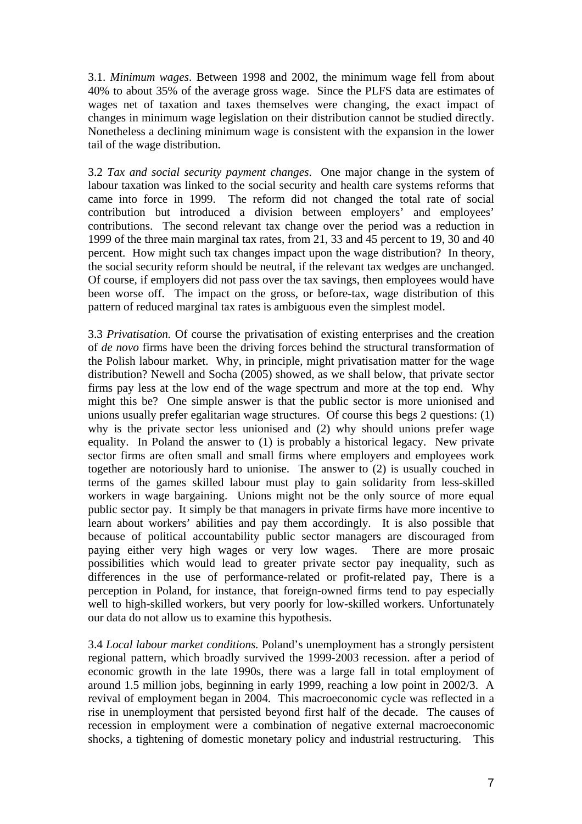3.1. *Minimum wages*. Between 1998 and 2002, the minimum wage fell from about 40% to about 35% of the average gross wage. Since the PLFS data are estimates of wages net of taxation and taxes themselves were changing, the exact impact of changes in minimum wage legislation on their distribution cannot be studied directly. Nonetheless a declining minimum wage is consistent with the expansion in the lower tail of the wage distribution.

3.2 *Tax and social security payment changes*. One major change in the system of labour taxation was linked to the social security and health care systems reforms that came into force in 1999. The reform did not changed the total rate of social contribution but introduced a division between employers' and employees' contributions. The second relevant tax change over the period was a reduction in 1999 of the three main marginal tax rates, from 21, 33 and 45 percent to 19, 30 and 40 percent. How might such tax changes impact upon the wage distribution? In theory, the social security reform should be neutral, if the relevant tax wedges are unchanged. Of course, if employers did not pass over the tax savings, then employees would have been worse off. The impact on the gross, or before-tax, wage distribution of this pattern of reduced marginal tax rates is ambiguous even the simplest model.

3.3 *Privatisation.* Of course the privatisation of existing enterprises and the creation of *de novo* firms have been the driving forces behind the structural transformation of the Polish labour market. Why, in principle, might privatisation matter for the wage distribution? Newell and Socha (2005) showed, as we shall below, that private sector firms pay less at the low end of the wage spectrum and more at the top end. Why might this be? One simple answer is that the public sector is more unionised and unions usually prefer egalitarian wage structures. Of course this begs 2 questions: (1) why is the private sector less unionised and (2) why should unions prefer wage equality. In Poland the answer to (1) is probably a historical legacy. New private sector firms are often small and small firms where employers and employees work together are notoriously hard to unionise. The answer to (2) is usually couched in terms of the games skilled labour must play to gain solidarity from less-skilled workers in wage bargaining. Unions might not be the only source of more equal public sector pay. It simply be that managers in private firms have more incentive to learn about workers' abilities and pay them accordingly. It is also possible that because of political accountability public sector managers are discouraged from paying either very high wages or very low wages. There are more prosaic possibilities which would lead to greater private sector pay inequality, such as differences in the use of performance-related or profit-related pay, There is a perception in Poland, for instance, that foreign-owned firms tend to pay especially well to high-skilled workers, but very poorly for low-skilled workers. Unfortunately our data do not allow us to examine this hypothesis.

3.4 *Local labour market conditions.* Poland's unemployment has a strongly persistent regional pattern, which broadly survived the 1999-2003 recession. after a period of economic growth in the late 1990s, there was a large fall in total employment of around 1.5 million jobs, beginning in early 1999, reaching a low point in 2002/3. A revival of employment began in 2004. This macroeconomic cycle was reflected in a rise in unemployment that persisted beyond first half of the decade. The causes of recession in employment were a combination of negative external macroeconomic shocks, a tightening of domestic monetary policy and industrial restructuring. This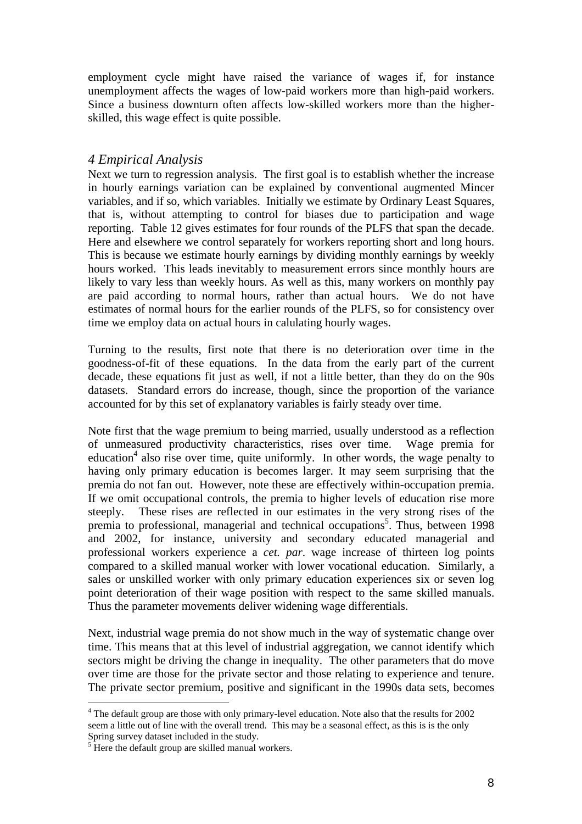employment cycle might have raised the variance of wages if, for instance unemployment affects the wages of low-paid workers more than high-paid workers. Since a business downturn often affects low-skilled workers more than the higherskilled, this wage effect is quite possible.

#### *4 Empirical Analysis*

Next we turn to regression analysis. The first goal is to establish whether the increase in hourly earnings variation can be explained by conventional augmented Mincer variables, and if so, which variables. Initially we estimate by Ordinary Least Squares, that is, without attempting to control for biases due to participation and wage reporting. Table 12 gives estimates for four rounds of the PLFS that span the decade. Here and elsewhere we control separately for workers reporting short and long hours. This is because we estimate hourly earnings by dividing monthly earnings by weekly hours worked. This leads inevitably to measurement errors since monthly hours are likely to vary less than weekly hours. As well as this, many workers on monthly pay are paid according to normal hours, rather than actual hours. We do not have estimates of normal hours for the earlier rounds of the PLFS, so for consistency over time we employ data on actual hours in calulating hourly wages.

Turning to the results, first note that there is no deterioration over time in the goodness-of-fit of these equations. In the data from the early part of the current decade, these equations fit just as well, if not a little better, than they do on the 90s datasets. Standard errors do increase, though, since the proportion of the variance accounted for by this set of explanatory variables is fairly steady over time.

Note first that the wage premium to being married, usually understood as a reflection of unmeasured productivity characteristics, rises over time. Wage premia for education<sup>[4](#page-9-0)</sup> also rise over time, quite uniformly. In other words, the wage penalty to having only primary education is becomes larger. It may seem surprising that the premia do not fan out. However, note these are effectively within-occupation premia. If we omit occupational controls, the premia to higher levels of education rise more steeply. These rises are reflected in our estimates in the very strong rises of the premia to professional, managerial and technical occupations<sup>[5](#page-9-1)</sup>. Thus, between 1998 and 2002, for instance, university and secondary educated managerial and professional workers experience a *cet. par*. wage increase of thirteen log points compared to a skilled manual worker with lower vocational education. Similarly, a sales or unskilled worker with only primary education experiences six or seven log point deterioration of their wage position with respect to the same skilled manuals. Thus the parameter movements deliver widening wage differentials.

Next, industrial wage premia do not show much in the way of systematic change over time. This means that at this level of industrial aggregation, we cannot identify which sectors might be driving the change in inequality. The other parameters that do move over time are those for the private sector and those relating to experience and tenure. The private sector premium, positive and significant in the 1990s data sets, becomes

<span id="page-9-0"></span><sup>4</sup> The default group are those with only primary-level education. Note also that the results for 2002 seem a little out of line with the overall trend. This may be a seasonal effect, as this is is the only Spring survey dataset included in the study.

<span id="page-9-1"></span> $<sup>5</sup>$  Here the default group are skilled manual workers.</sup>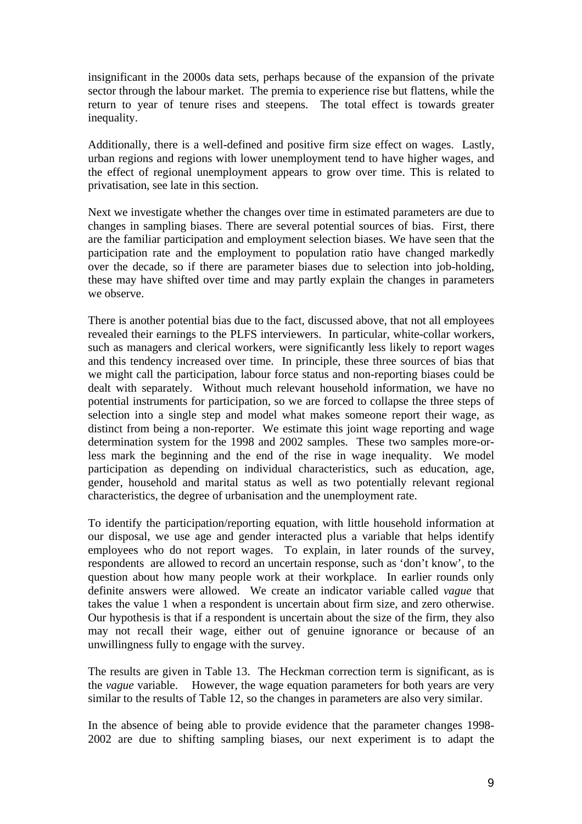insignificant in the 2000s data sets, perhaps because of the expansion of the private sector through the labour market. The premia to experience rise but flattens, while the return to year of tenure rises and steepens. The total effect is towards greater inequality.

Additionally, there is a well-defined and positive firm size effect on wages. Lastly, urban regions and regions with lower unemployment tend to have higher wages, and the effect of regional unemployment appears to grow over time. This is related to privatisation, see late in this section.

Next we investigate whether the changes over time in estimated parameters are due to changes in sampling biases. There are several potential sources of bias. First, there are the familiar participation and employment selection biases. We have seen that the participation rate and the employment to population ratio have changed markedly over the decade, so if there are parameter biases due to selection into job-holding, these may have shifted over time and may partly explain the changes in parameters we observe.

There is another potential bias due to the fact, discussed above, that not all employees revealed their earnings to the PLFS interviewers. In particular, white-collar workers, such as managers and clerical workers, were significantly less likely to report wages and this tendency increased over time. In principle, these three sources of bias that we might call the participation, labour force status and non-reporting biases could be dealt with separately. Without much relevant household information, we have no potential instruments for participation, so we are forced to collapse the three steps of selection into a single step and model what makes someone report their wage, as distinct from being a non-reporter. We estimate this joint wage reporting and wage determination system for the 1998 and 2002 samples. These two samples more-orless mark the beginning and the end of the rise in wage inequality. We model participation as depending on individual characteristics, such as education, age, gender, household and marital status as well as two potentially relevant regional characteristics, the degree of urbanisation and the unemployment rate.

To identify the participation/reporting equation, with little household information at our disposal, we use age and gender interacted plus a variable that helps identify employees who do not report wages. To explain, in later rounds of the survey, respondents are allowed to record an uncertain response, such as 'don't know', to the question about how many people work at their workplace. In earlier rounds only definite answers were allowed. We create an indicator variable called *vague* that takes the value 1 when a respondent is uncertain about firm size, and zero otherwise. Our hypothesis is that if a respondent is uncertain about the size of the firm, they also may not recall their wage, either out of genuine ignorance or because of an unwillingness fully to engage with the survey.

The results are given in Table 13. The Heckman correction term is significant, as is the *vague* variable. However, the wage equation parameters for both years are very similar to the results of Table 12, so the changes in parameters are also very similar.

In the absence of being able to provide evidence that the parameter changes 1998- 2002 are due to shifting sampling biases, our next experiment is to adapt the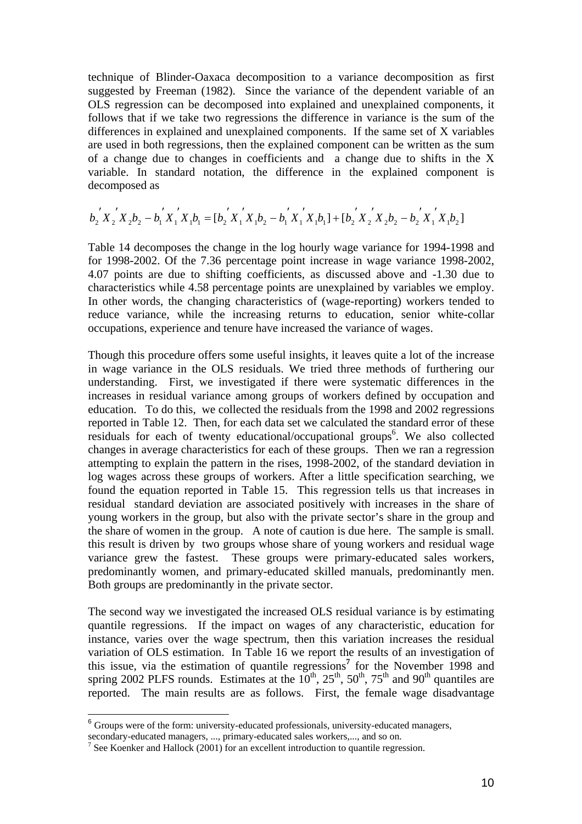technique of Blinder-Oaxaca decomposition to a variance decomposition as first suggested by Freeman (1982). Since the variance of the dependent variable of an OLS regression can be decomposed into explained and unexplained components, it follows that if we take two regressions the difference in variance is the sum of the differences in explained and unexplained components. If the same set of X variables are used in both regressions, then the explained component can be written as the sum of a change due to changes in coefficients and a change due to shifts in the X variable. In standard notation, the difference in the explained component is decomposed as

$$
b_2' X_2' X_2 b_2 - b_1' X_1' X_1 b_1 = [b_2' X_1' X_1 b_2 - b_1' X_1' X_1 b_1] + [b_2' X_2' X_2 b_2 - b_2' X_1' X_1 b_2]
$$

Table 14 decomposes the change in the log hourly wage variance for 1994-1998 and for 1998-2002. Of the 7.36 percentage point increase in wage variance 1998-2002, 4.07 points are due to shifting coefficients, as discussed above and -1.30 due to characteristics while 4.58 percentage points are unexplained by variables we employ. In other words, the changing characteristics of (wage-reporting) workers tended to reduce variance, while the increasing returns to education, senior white-collar occupations, experience and tenure have increased the variance of wages.

Though this procedure offers some useful insights, it leaves quite a lot of the increase in wage variance in the OLS residuals. We tried three methods of furthering our understanding. First, we investigated if there were systematic differences in the increases in residual variance among groups of workers defined by occupation and education. To do this, we collected the residuals from the 1998 and 2002 regressions reported in Table 12. Then, for each data set we calculated the standard error of these residuals for each of twenty educational/occupational groups<sup>[6](#page-11-0)</sup>. We also collected changes in average characteristics for each of these groups. Then we ran a regression attempting to explain the pattern in the rises, 1998-2002, of the standard deviation in log wages across these groups of workers. After a little specification searching, we found the equation reported in Table 15. This regression tells us that increases in residual standard deviation are associated positively with increases in the share of young workers in the group, but also with the private sector's share in the group and the share of women in the group. A note of caution is due here. The sample is small. this result is driven by two groups whose share of young workers and residual wage variance grew the fastest. These groups were primary-educated sales workers, predominantly women, and primary-educated skilled manuals, predominantly men. Both groups are predominantly in the private sector.

The second way we investigated the increased OLS residual variance is by estimating quantile regressions. If the impact on wages of any characteristic, education for instance, varies over the wage spectrum, then this variation increases the residual variation of OLS estimation. In Table 16 we report the results of an investigation of this issue, via the estimation of quantile regressions**<sup>7</sup>** for the November 1998 and spring 2002 PLFS rounds. Estimates at the  $10^{th}$ ,  $25^{th}$ ,  $50^{th}$ ,  $75^{th}$  and  $90^{th}$  quantiles are reported. The main results are as follows. First, the female wage disadvantage

<span id="page-11-0"></span> $6$  Groups were of the form: university-educated professionals, university-educated managers,

secondary-educated managers, ..., primary-educated sales workers,..., and so on.

<span id="page-11-1"></span> $\frac{7}{1}$  See Koenker and Hallock (2001) for an excellent introduction to quantile regression.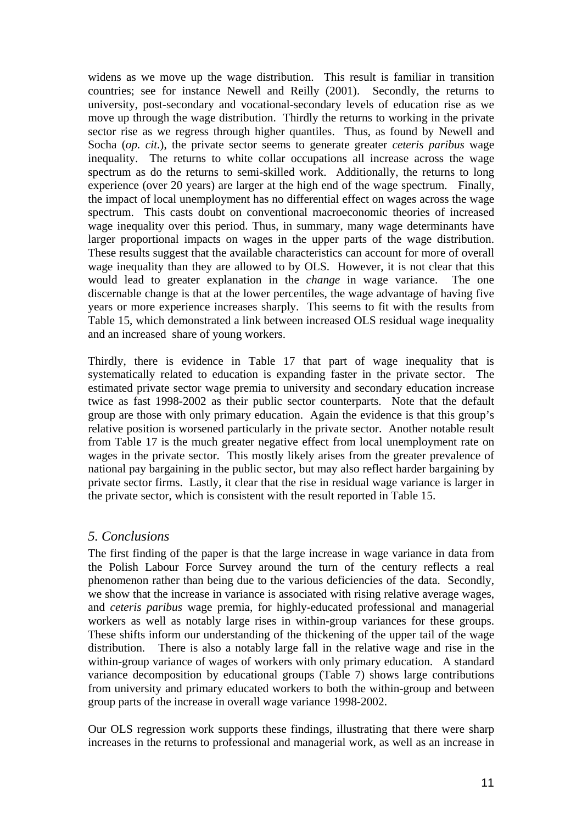widens as we move up the wage distribution. This result is familiar in transition countries; see for instance Newell and Reilly (2001). Secondly, the returns to university, post-secondary and vocational-secondary levels of education rise as we move up through the wage distribution. Thirdly the returns to working in the private sector rise as we regress through higher quantiles. Thus, as found by Newell and Socha (*op. cit*.), the private sector seems to generate greater *ceteris paribus* wage inequality. The returns to white collar occupations all increase across the wage spectrum as do the returns to semi-skilled work. Additionally, the returns to long experience (over 20 years) are larger at the high end of the wage spectrum. Finally, the impact of local unemployment has no differential effect on wages across the wage spectrum. This casts doubt on conventional macroeconomic theories of increased wage inequality over this period. Thus, in summary, many wage determinants have larger proportional impacts on wages in the upper parts of the wage distribution. These results suggest that the available characteristics can account for more of overall wage inequality than they are allowed to by OLS. However, it is not clear that this would lead to greater explanation in the *change* in wage variance. The one discernable change is that at the lower percentiles, the wage advantage of having five years or more experience increases sharply. This seems to fit with the results from Table 15, which demonstrated a link between increased OLS residual wage inequality and an increased share of young workers.

Thirdly, there is evidence in Table 17 that part of wage inequality that is systematically related to education is expanding faster in the private sector. The estimated private sector wage premia to university and secondary education increase twice as fast 1998-2002 as their public sector counterparts. Note that the default group are those with only primary education. Again the evidence is that this group's relative position is worsened particularly in the private sector. Another notable result from Table 17 is the much greater negative effect from local unemployment rate on wages in the private sector. This mostly likely arises from the greater prevalence of national pay bargaining in the public sector, but may also reflect harder bargaining by private sector firms. Lastly, it clear that the rise in residual wage variance is larger in the private sector, which is consistent with the result reported in Table 15.

#### *5. Conclusions*

The first finding of the paper is that the large increase in wage variance in data from the Polish Labour Force Survey around the turn of the century reflects a real phenomenon rather than being due to the various deficiencies of the data. Secondly, we show that the increase in variance is associated with rising relative average wages, and *ceteris paribus* wage premia, for highly-educated professional and managerial workers as well as notably large rises in within-group variances for these groups. These shifts inform our understanding of the thickening of the upper tail of the wage distribution. There is also a notably large fall in the relative wage and rise in the within-group variance of wages of workers with only primary education. A standard variance decomposition by educational groups (Table 7) shows large contributions from university and primary educated workers to both the within-group and between group parts of the increase in overall wage variance 1998-2002.

Our OLS regression work supports these findings, illustrating that there were sharp increases in the returns to professional and managerial work, as well as an increase in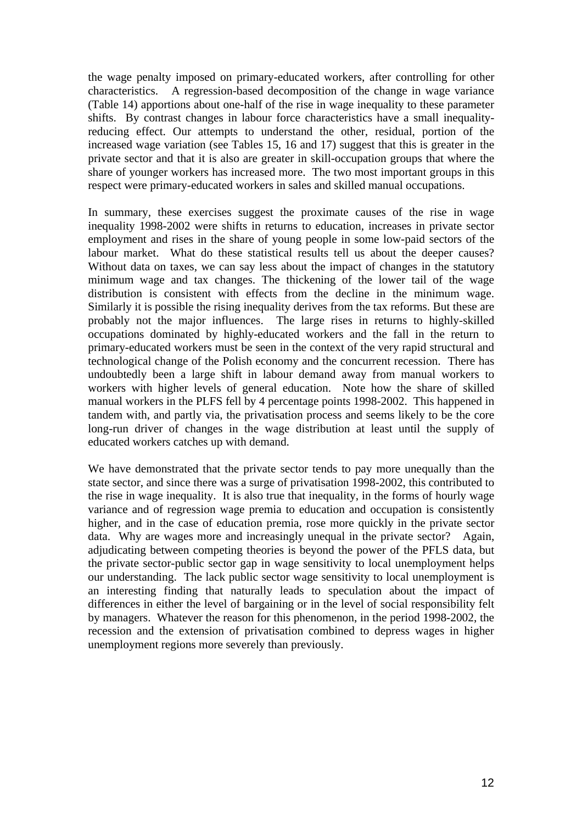the wage penalty imposed on primary-educated workers, after controlling for other characteristics. A regression-based decomposition of the change in wage variance (Table 14) apportions about one-half of the rise in wage inequality to these parameter shifts. By contrast changes in labour force characteristics have a small inequalityreducing effect. Our attempts to understand the other, residual, portion of the increased wage variation (see Tables 15, 16 and 17) suggest that this is greater in the private sector and that it is also are greater in skill-occupation groups that where the share of younger workers has increased more. The two most important groups in this respect were primary-educated workers in sales and skilled manual occupations.

In summary, these exercises suggest the proximate causes of the rise in wage inequality 1998-2002 were shifts in returns to education, increases in private sector employment and rises in the share of young people in some low-paid sectors of the labour market. What do these statistical results tell us about the deeper causes? Without data on taxes, we can say less about the impact of changes in the statutory minimum wage and tax changes. The thickening of the lower tail of the wage distribution is consistent with effects from the decline in the minimum wage. Similarly it is possible the rising inequality derives from the tax reforms. But these are probably not the major influences. The large rises in returns to highly-skilled occupations dominated by highly-educated workers and the fall in the return to primary-educated workers must be seen in the context of the very rapid structural and technological change of the Polish economy and the concurrent recession. There has undoubtedly been a large shift in labour demand away from manual workers to workers with higher levels of general education. Note how the share of skilled manual workers in the PLFS fell by 4 percentage points 1998-2002. This happened in tandem with, and partly via, the privatisation process and seems likely to be the core long-run driver of changes in the wage distribution at least until the supply of educated workers catches up with demand.

We have demonstrated that the private sector tends to pay more unequally than the state sector, and since there was a surge of privatisation 1998-2002, this contributed to the rise in wage inequality. It is also true that inequality, in the forms of hourly wage variance and of regression wage premia to education and occupation is consistently higher, and in the case of education premia, rose more quickly in the private sector data. Why are wages more and increasingly unequal in the private sector? Again, adjudicating between competing theories is beyond the power of the PFLS data, but the private sector-public sector gap in wage sensitivity to local unemployment helps our understanding. The lack public sector wage sensitivity to local unemployment is an interesting finding that naturally leads to speculation about the impact of differences in either the level of bargaining or in the level of social responsibility felt by managers. Whatever the reason for this phenomenon, in the period 1998-2002, the recession and the extension of privatisation combined to depress wages in higher unemployment regions more severely than previously.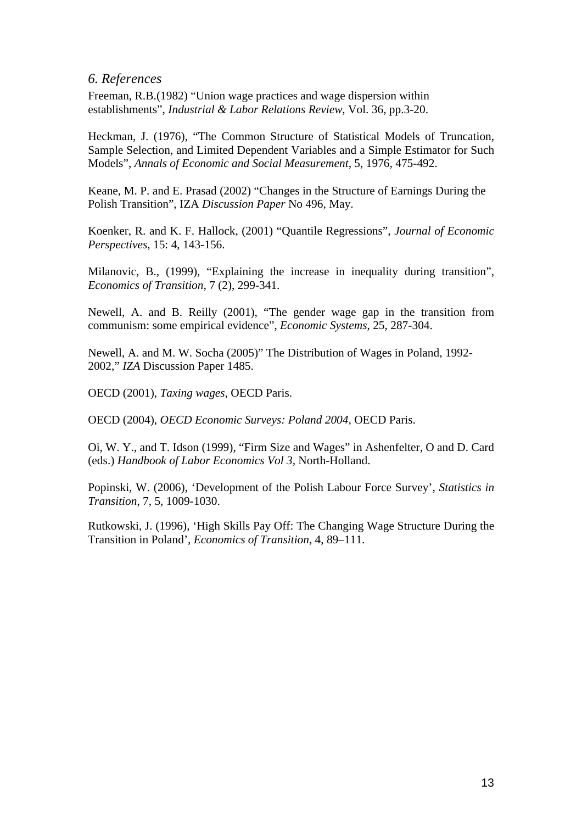#### *6. References*

Freeman, R.B.(1982) "Union wage practices and wage dispersion within establishments", *Industrial & Labor Relations Review*, Vol. 36, pp.3-20.

Heckman, J. (1976), "The Common Structure of Statistical Models of Truncation, Sample Selection, and Limited Dependent Variables and a Simple Estimator for Such Models", *Annals of Economic and Social Measurement*, 5, 1976, 475-492.

Keane, M. P. and E. Prasad (2002) "Changes in the Structure of Earnings During the Polish Transition", IZA *Discussion Paper* No 496, May.

Koenker, R. and K. F. Hallock, (2001) "Quantile Regressions", *Journal of Economic Perspectives,* 15: 4, 143-156.

Milanovic, B., (1999), "Explaining the increase in inequality during transition", *Economics of Transition*, 7 (2), 299-341.

Newell, A. and B. Reilly (2001), "The gender wage gap in the transition from communism: some empirical evidence", *Economic Systems*, 25, 287-304.

Newell, A. and M. W. Socha (2005)" The Distribution of Wages in Poland, 1992- 2002," *IZA* Discussion Paper 1485.

OECD (2001), *Taxing wages*, OECD Paris.

OECD (2004), *OECD Economic Surveys: Poland 2004*, OECD Paris.

Oi, W. Y., and T. Idson (1999), "Firm Size and Wages" in Ashenfelter, O and D. Card (eds.) *Handbook of Labor Economics Vol 3,* North-Holland.

Popinski, W. (2006), 'Development of the Polish Labour Force Survey', *Statistics in Transition,* 7, 5, 1009-1030.

Rutkowski, J. (1996), 'High Skills Pay Off: The Changing Wage Structure During the Transition in Poland', *Economics of Transition*, 4, 89–111.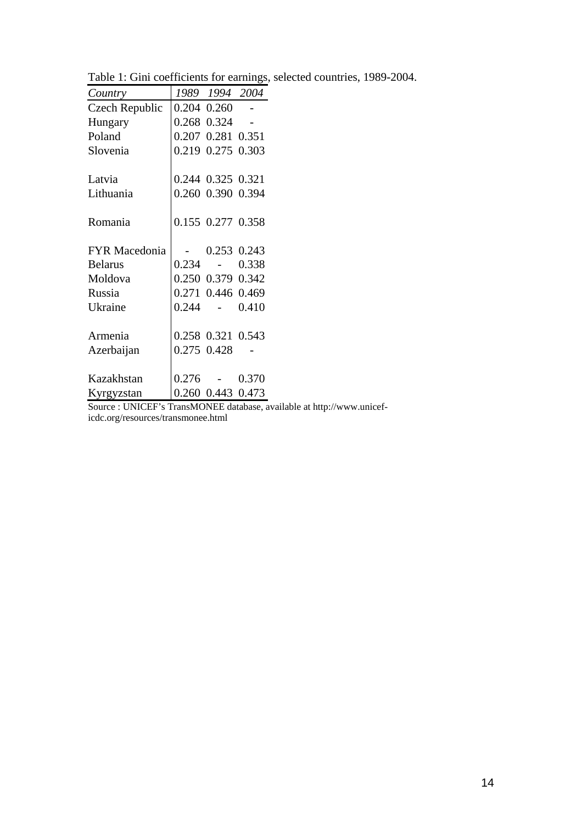| Country              | 1989 1994 2004    |             |
|----------------------|-------------------|-------------|
| Czech Republic       | $0.204$ $0.260$ - |             |
| Hungary              | $0.268$ $0.324$ - |             |
| Poland               | 0.207 0.281 0.351 |             |
| Slovenia             | 0.219 0.275 0.303 |             |
|                      |                   |             |
| Latvia               | 0.244 0.325 0.321 |             |
| Lithuania            | 0.260 0.390 0.394 |             |
|                      |                   |             |
| Romania              | 0.155 0.277 0.358 |             |
|                      |                   |             |
| <b>FYR Macedonia</b> |                   | 0.253 0.243 |
| <b>Belarus</b>       | $0.234 - 0.338$   |             |
| Moldova<br>Russia    | 0.250 0.379 0.342 |             |
|                      | 0.271 0.446 0.469 |             |
| Ukraine              | $0.244 - 0.410$   |             |
|                      |                   |             |
| Armenia              | 0.258 0.321 0.543 |             |
| Azerbaijan           | $0.275$ $0.428$ - |             |
|                      |                   |             |
| Kazakhstan           | $0.276 - 0.370$   |             |
| Kyrgyzstan           | 0.260 0.443 0.473 |             |

Table 1: Gini coefficients for earnings, selected countries, 1989-2004.

Source : UNICEF's TransMONEE database, available at http://www.uniceficdc.org/resources/transmonee.html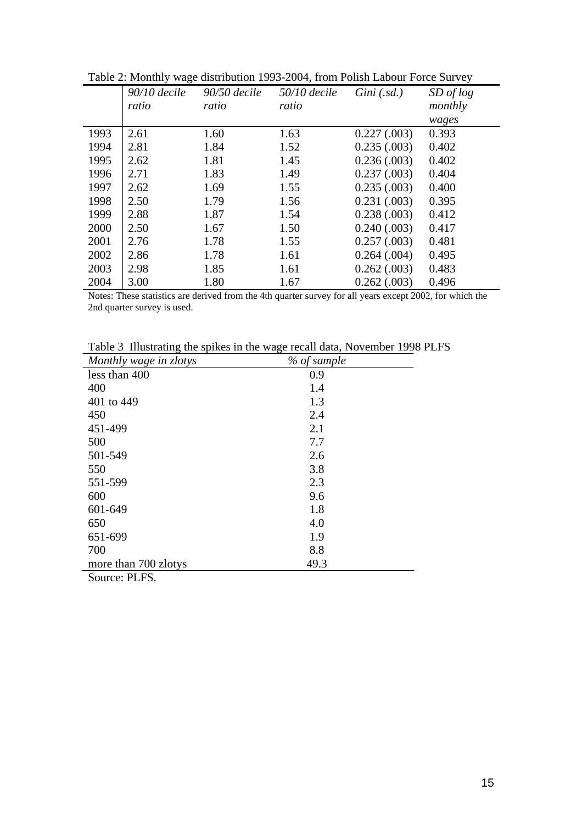|      | $\cdots$<br>90/10 decile | 90/50 decile | $50/10$ decile | $Gini$ (.sd.)    | SD of log |
|------|--------------------------|--------------|----------------|------------------|-----------|
|      | ratio                    | ratio        | ratio          |                  | monthly   |
|      |                          |              |                |                  | wages     |
| 1993 | 2.61                     | 1.60         | 1.63           | 0.227(.003)      | 0.393     |
| 1994 | 2.81                     | 1.84         | 1.52           | 0.235(.003)      | 0.402     |
| 1995 | 2.62                     | 1.81         | 1.45           | 0.236(0.003)     | 0.402     |
| 1996 | 2.71                     | 1.83         | 1.49           | 0.237(0.003)     | 0.404     |
| 1997 | 2.62                     | 1.69         | 1.55           | 0.235(.003)      | 0.400     |
| 1998 | 2.50                     | 1.79         | 1.56           | 0.231(0.003)     | 0.395     |
| 1999 | 2.88                     | 1.87         | 1.54           | 0.238(.003)      | 0.412     |
| 2000 | 2.50                     | 1.67         | 1.50           | 0.240(0.003)     | 0.417     |
| 2001 | 2.76                     | 1.78         | 1.55           | 0.257(.003)      | 0.481     |
| 2002 | 2.86                     | 1.78         | 1.61           | $0.264$ $(.004)$ | 0.495     |
| 2003 | 2.98                     | 1.85         | 1.61           | 0.262(0.003)     | 0.483     |
| 2004 | 3.00                     | 1.80         | 1.67           | $0.262$ $(.003)$ | 0.496     |

Table 2: Monthly wage distribution 1993-2004, from Polish Labour Force Survey

Notes: These statistics are derived from the 4th quarter survey for all years except 2002, for which the 2nd quarter survey is used.

Table 3 Illustrating the spikes in the wage recall data, November 1998 PLFS

| Monthly wage in zlotys | % of sample |  |
|------------------------|-------------|--|
| less than 400          | 0.9         |  |
| 400                    | 1.4         |  |
| 401 to 449             | 1.3         |  |
| 450                    | 2.4         |  |
| 451-499                | 2.1         |  |
| 500                    | 7.7         |  |
| 501-549                | 2.6         |  |
| 550                    | 3.8         |  |
| 551-599                | 2.3         |  |
| 600                    | 9.6         |  |
| 601-649                | 1.8         |  |
| 650                    | 4.0         |  |
| 651-699                | 1.9         |  |
| 700                    | 8.8         |  |
| more than 700 zlotys   | 49.3        |  |
| Source: PLFS.          |             |  |

Source: PLFS.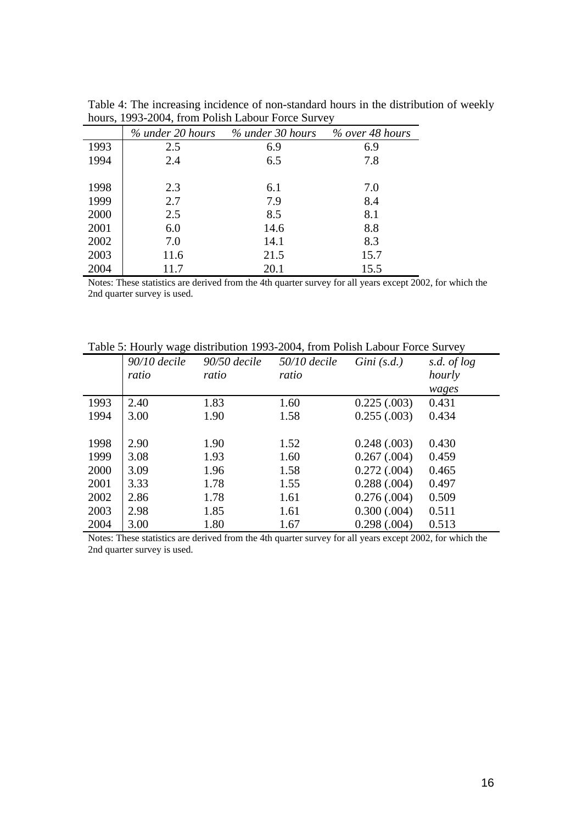|      | % under 20 hours | % under 30 hours | % over 48 hours |
|------|------------------|------------------|-----------------|
| 1993 | 2.5              | 6.9              | 6.9             |
| 1994 | 2.4              | 6.5              | 7.8             |
|      |                  |                  |                 |
| 1998 | 2.3              | 6.1              | 7.0             |
| 1999 | 2.7              | 7.9              | 8.4             |
| 2000 | 2.5              | 8.5              | 8.1             |
| 2001 | 6.0              | 14.6             | 8.8             |
| 2002 | 7.0              | 14.1             | 8.3             |
| 2003 | 11.6             | 21.5             | 15.7            |
| 2004 | 11.7             | 20.1             | 15.5            |

Table 4: The increasing incidence of non-standard hours in the distribution of weekly hours, 1993-2004, from Polish Labour Force Survey

Notes: These statistics are derived from the 4th quarter survey for all years except 2002, for which the 2nd quarter survey is used.

| Table 5: Hourly wage distribution 1993-2004, from Polish Labour Force Survey |  |  |
|------------------------------------------------------------------------------|--|--|
|                                                                              |  |  |

| $90/10$ decile | 90/50 decile | $50/10$ decile | Gini(s.d.)   | s.d. of log |
|----------------|--------------|----------------|--------------|-------------|
| ratio          | ratio        | ratio          |              | hourly      |
|                |              |                |              | wages       |
| 2.40           | 1.83         | 1.60           | 0.225(.003)  | 0.431       |
| 3.00           | 1.90         | 1.58           | 0.255(.003)  | 0.434       |
|                |              |                |              |             |
| 2.90           | 1.90         | 1.52           | 0.248(.003)  | 0.430       |
| 3.08           | 1.93         | 1.60           | 0.267(0.004) | 0.459       |
| 3.09           | 1.96         | 1.58           | 0.272(0.004) | 0.465       |
| 3.33           | 1.78         | 1.55           | 0.288(.004)  | 0.497       |
| 2.86           | 1.78         | 1.61           | 0.276(.004)  | 0.509       |
| 2.98           | 1.85         | 1.61           | 0.300(.004)  | 0.511       |
| 3.00           | 1.80         | 1.67           | 0.298(.004)  | 0.513       |
|                |              |                |              |             |

Notes: These statistics are derived from the 4th quarter survey for all years except 2002, for which the 2nd quarter survey is used.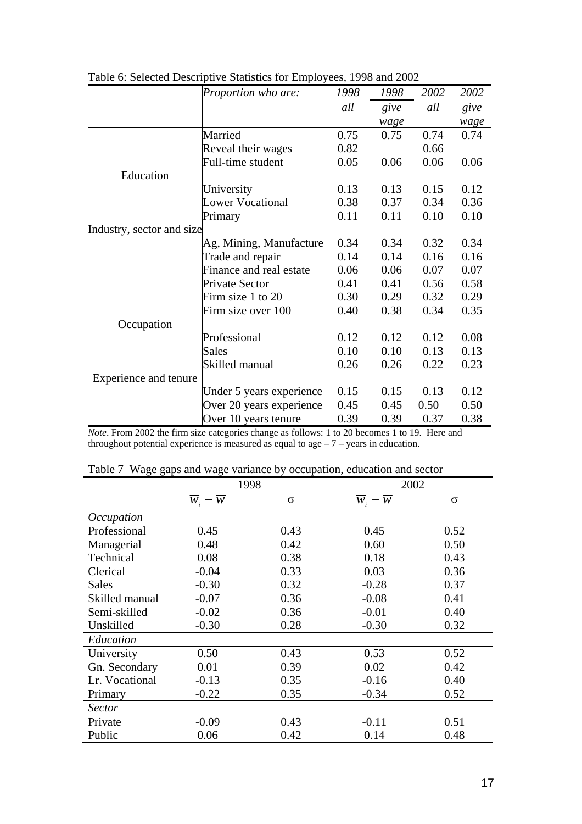|                           | Proportion who are:      | 1998 | 1998 | 2002 | 2002 |
|---------------------------|--------------------------|------|------|------|------|
|                           |                          | all  | give | all  | give |
|                           |                          |      | wage |      | wage |
|                           | Married                  | 0.75 | 0.75 | 0.74 | 0.74 |
|                           | Reveal their wages       | 0.82 |      | 0.66 |      |
|                           | Full-time student        | 0.05 | 0.06 | 0.06 | 0.06 |
| Education                 |                          |      |      |      |      |
|                           | University               | 0.13 | 0.13 | 0.15 | 0.12 |
|                           | <b>Lower Vocational</b>  | 0.38 | 0.37 | 0.34 | 0.36 |
|                           | Primary                  | 0.11 | 0.11 | 0.10 | 0.10 |
| Industry, sector and size |                          |      |      |      |      |
|                           | Ag, Mining, Manufacture  | 0.34 | 0.34 | 0.32 | 0.34 |
|                           | Trade and repair         | 0.14 | 0.14 | 0.16 | 0.16 |
|                           | Finance and real estate  | 0.06 | 0.06 | 0.07 | 0.07 |
|                           | <b>Private Sector</b>    | 0.41 | 0.41 | 0.56 | 0.58 |
|                           | Firm size 1 to 20        | 0.30 | 0.29 | 0.32 | 0.29 |
|                           | Firm size over 100       | 0.40 | 0.38 | 0.34 | 0.35 |
| Occupation                |                          |      |      |      |      |
|                           | Professional             | 0.12 | 0.12 | 0.12 | 0.08 |
|                           | <b>Sales</b>             | 0.10 | 0.10 | 0.13 | 0.13 |
|                           | Skilled manual           | 0.26 | 0.26 | 0.22 | 0.23 |
| Experience and tenure     |                          |      |      |      |      |
|                           | Under 5 years experience | 0.15 | 0.15 | 0.13 | 0.12 |
|                           | Over 20 years experience | 0.45 | 0.45 | 0.50 | 0.50 |
|                           | Over 10 years tenure     | 0.39 | 0.39 | 0.37 | 0.38 |

Table 6: Selected Descriptive Statistics for Employees, 1998 and 2002

*Note*. From 2002 the firm size categories change as follows: 1 to 20 becomes 1 to 19. Here and throughout potential experience is measured as equal to age  $-7$  – years in education.

|                   | 1998                              |      | 2002                              |          |  |
|-------------------|-----------------------------------|------|-----------------------------------|----------|--|
|                   | $\overline{W}_{i} - \overline{W}$ | σ    | $\overline{W}_{i} - \overline{W}$ | $\sigma$ |  |
| <i>Occupation</i> |                                   |      |                                   |          |  |
| Professional      | 0.45                              | 0.43 | 0.45                              | 0.52     |  |
| Managerial        | 0.48                              | 0.42 | 0.60                              | 0.50     |  |
| Technical         | 0.08                              | 0.38 | 0.18                              | 0.43     |  |
| Clerical          | $-0.04$                           | 0.33 | 0.03                              | 0.36     |  |
| <b>Sales</b>      | $-0.30$                           | 0.32 | $-0.28$                           | 0.37     |  |
| Skilled manual    | $-0.07$                           | 0.36 | $-0.08$                           | 0.41     |  |
| Semi-skilled      | $-0.02$                           | 0.36 | $-0.01$                           | 0.40     |  |
| Unskilled         | $-0.30$                           | 0.28 | $-0.30$                           | 0.32     |  |
| Education         |                                   |      |                                   |          |  |
| University        | 0.50                              | 0.43 | 0.53                              | 0.52     |  |
| Gn. Secondary     | 0.01                              | 0.39 | 0.02                              | 0.42     |  |
| Lr. Vocational    | $-0.13$                           | 0.35 | $-0.16$                           | 0.40     |  |
| Primary           | $-0.22$                           | 0.35 | $-0.34$                           | 0.52     |  |
| <b>Sector</b>     |                                   |      |                                   |          |  |
| Private           | $-0.09$                           | 0.43 | $-0.11$                           | 0.51     |  |
| Public            | 0.06                              | 0.42 | 0.14                              | 0.48     |  |

Table 7 Wage gaps and wage variance by occupation, education and sector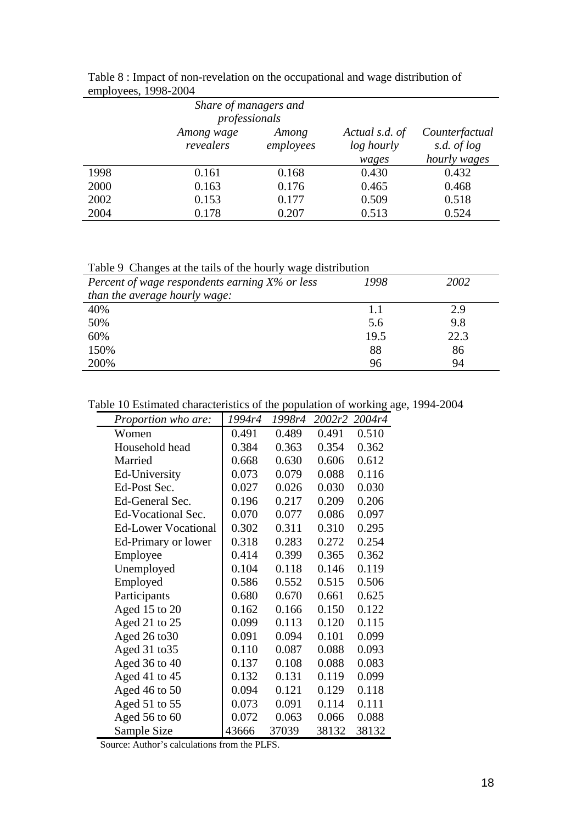|      | Share of managers and<br>professionals |                    |                              |                               |
|------|----------------------------------------|--------------------|------------------------------|-------------------------------|
|      | Among wage<br>revealers                | Among<br>employees | Actual s.d. of<br>log hourly | Counterfactual<br>s.d. of log |
|      |                                        |                    | wages                        | hourly wages                  |
| 1998 | 0.161                                  | 0.168              | 0.430                        | 0.432                         |
| 2000 | 0.163                                  | 0.176              | 0.465                        | 0.468                         |
| 2002 | 0.153                                  | 0.177              | 0.509                        | 0.518                         |
| 2004 | 0.178                                  | 0.207              | 0.513                        | 0.524                         |

Table 8 : Impact of non-revelation on the occupational and wage distribution of employees, 1998-2004

Table 9 Changes at the tails of the hourly wage distribution

| Percent of wage respondents earning $X\%$ or less | 1998 | 2002 |
|---------------------------------------------------|------|------|
| than the average hourly wage:                     |      |      |
| 40%                                               | 1.1  | 2.9  |
| 50%                                               | 5.6  | 9.8  |
| 60%                                               | 19.5 | 22.3 |
| 150%                                              | 88   | 86   |
| 200%                                              | 96   | 94   |

Table 10 Estimated characteristics of the population of working age, 1994-2004

| Proportion who are:        | 1994r4 | 1998r4 | 2002r2 | 2004r4 |
|----------------------------|--------|--------|--------|--------|
| Women                      | 0.491  | 0.489  | 0.491  | 0.510  |
| Household head             | 0.384  | 0.363  | 0.354  | 0.362  |
| Married                    | 0.668  | 0.630  | 0.606  | 0.612  |
| Ed-University              | 0.073  | 0.079  | 0.088  | 0.116  |
| Ed-Post Sec.               | 0.027  | 0.026  | 0.030  | 0.030  |
| Ed-General Sec.            | 0.196  | 0.217  | 0.209  | 0.206  |
| Ed-Vocational Sec.         | 0.070  | 0.077  | 0.086  | 0.097  |
| <b>Ed-Lower Vocational</b> | 0.302  | 0.311  | 0.310  | 0.295  |
| Ed-Primary or lower        | 0.318  | 0.283  | 0.272  | 0.254  |
| Employee                   | 0.414  | 0.399  | 0.365  | 0.362  |
| Unemployed                 | 0.104  | 0.118  | 0.146  | 0.119  |
| Employed                   | 0.586  | 0.552  | 0.515  | 0.506  |
| Participants               | 0.680  | 0.670  | 0.661  | 0.625  |
| Aged 15 to 20              | 0.162  | 0.166  | 0.150  | 0.122  |
| Aged 21 to 25              | 0.099  | 0.113  | 0.120  | 0.115  |
| Aged 26 to 30              | 0.091  | 0.094  | 0.101  | 0.099  |
| Aged 31 to 35              | 0.110  | 0.087  | 0.088  | 0.093  |
| Aged 36 to 40              | 0.137  | 0.108  | 0.088  | 0.083  |
| Aged 41 to 45              | 0.132  | 0.131  | 0.119  | 0.099  |
| Aged 46 to 50              | 0.094  | 0.121  | 0.129  | 0.118  |
| Aged 51 to 55              | 0.073  | 0.091  | 0.114  | 0.111  |
| Aged 56 to 60              | 0.072  | 0.063  | 0.066  | 0.088  |
| Sample Size                | 43666  | 37039  | 38132  | 38132  |

Source: Author's calculations from the PLFS.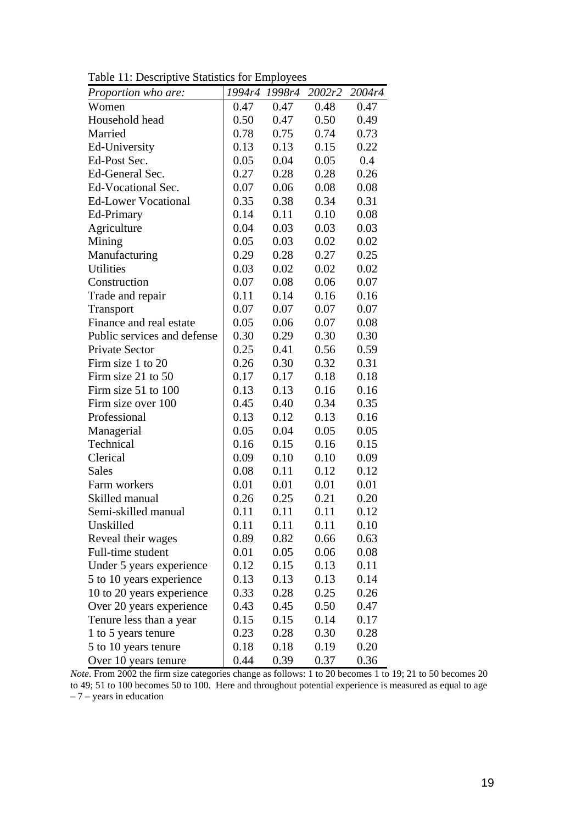| Proportion who are:         |      | 1994r4 1998r4 | 2002r2 | 2004r4 |
|-----------------------------|------|---------------|--------|--------|
| Women                       | 0.47 | 0.47          | 0.48   | 0.47   |
| Household head              | 0.50 | 0.47          | 0.50   | 0.49   |
| Married                     | 0.78 | 0.75          | 0.74   | 0.73   |
| Ed-University               | 0.13 | 0.13          | 0.15   | 0.22   |
| Ed-Post Sec.                | 0.05 | 0.04          | 0.05   | 0.4    |
| Ed-General Sec.             | 0.27 | 0.28          | 0.28   | 0.26   |
| Ed-Vocational Sec.          | 0.07 | 0.06          | 0.08   | 0.08   |
| <b>Ed-Lower Vocational</b>  | 0.35 | 0.38          | 0.34   | 0.31   |
| Ed-Primary                  | 0.14 | 0.11          | 0.10   | 0.08   |
| Agriculture                 | 0.04 | 0.03          | 0.03   | 0.03   |
| Mining                      | 0.05 | 0.03          | 0.02   | 0.02   |
| Manufacturing               | 0.29 | 0.28          | 0.27   | 0.25   |
| <b>Utilities</b>            | 0.03 | 0.02          | 0.02   | 0.02   |
| Construction                | 0.07 | 0.08          | 0.06   | 0.07   |
| Trade and repair            | 0.11 | 0.14          | 0.16   | 0.16   |
| Transport                   | 0.07 | 0.07          | 0.07   | 0.07   |
| Finance and real estate     | 0.05 | 0.06          | 0.07   | 0.08   |
| Public services and defense | 0.30 | 0.29          | 0.30   | 0.30   |
| <b>Private Sector</b>       | 0.25 | 0.41          | 0.56   | 0.59   |
| Firm size 1 to 20           | 0.26 | 0.30          | 0.32   | 0.31   |
| Firm size 21 to 50          | 0.17 | 0.17          | 0.18   | 0.18   |
| Firm size 51 to 100         | 0.13 | 0.13          | 0.16   | 0.16   |
| Firm size over 100          | 0.45 | 0.40          | 0.34   | 0.35   |
| Professional                | 0.13 | 0.12          | 0.13   | 0.16   |
| Managerial                  | 0.05 | 0.04          | 0.05   | 0.05   |
| Technical                   | 0.16 | 0.15          | 0.16   | 0.15   |
| Clerical                    | 0.09 | 0.10          | 0.10   | 0.09   |
| <b>Sales</b>                | 0.08 | 0.11          | 0.12   | 0.12   |
| Farm workers                | 0.01 | 0.01          | 0.01   | 0.01   |
| Skilled manual              | 0.26 | 0.25          | 0.21   | 0.20   |
| Semi-skilled manual         | 0.11 | 0.11          | 0.11   | 0.12   |
| Unskilled                   | 0.11 | 0.11          | 0.11   | 0.10   |
| Reveal their wages          | 0.89 | 0.82          | 0.66   | 0.63   |
| Full-time student           | 0.01 | 0.05          | 0.06   | 0.08   |
| Under 5 years experience    | 0.12 | 0.15          | 0.13   | 0.11   |
| 5 to 10 years experience    | 0.13 | 0.13          | 0.13   | 0.14   |
| 10 to 20 years experience   | 0.33 | 0.28          | 0.25   | 0.26   |
| Over 20 years experience    | 0.43 | 0.45          | 0.50   | 0.47   |
| Tenure less than a year     | 0.15 | 0.15          | 0.14   | 0.17   |
| 1 to 5 years tenure         | 0.23 | 0.28          | 0.30   | 0.28   |
| 5 to 10 years tenure        | 0.18 | 0.18          | 0.19   | 0.20   |
| Over 10 years tenure        | 0.44 | 0.39          | 0.37   | 0.36   |

*Note*. From 2002 the firm size categories change as follows: 1 to 20 becomes 1 to 19; 21 to 50 becomes 20 to 49; 51 to 100 becomes 50 to 100. Here and throughout potential experience is measured as equal to age – 7 – years in education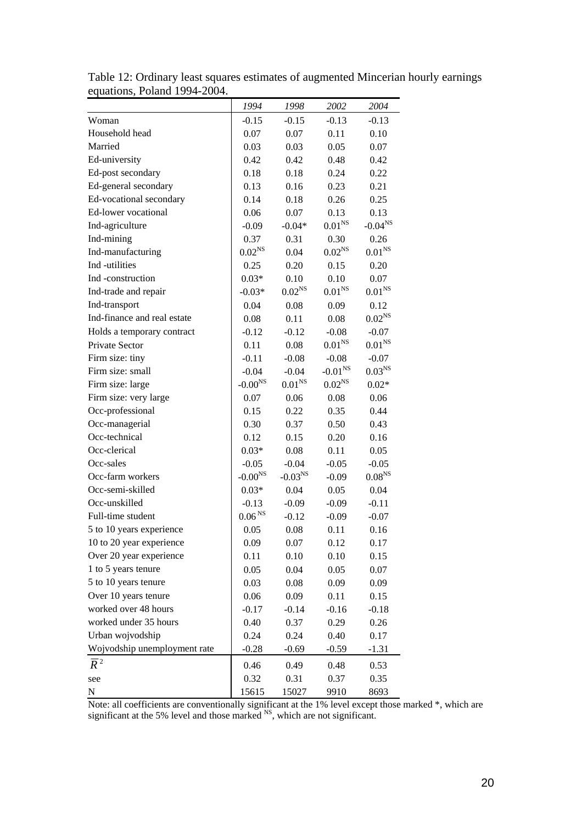|                              | 1994               | 1998               | 2002               | 2004               |
|------------------------------|--------------------|--------------------|--------------------|--------------------|
| Woman                        | $-0.15$            | $-0.15$            | $-0.13$            | $-0.13$            |
| Household head               | 0.07               | 0.07               | 0.11               | 0.10               |
| Married                      | 0.03               | 0.03               | 0.05               | 0.07               |
| Ed-university                | 0.42               | 0.42               | 0.48               | 0.42               |
| Ed-post secondary            | 0.18               | 0.18               | 0.24               | 0.22               |
| Ed-general secondary         | 0.13               | 0.16               | 0.23               | 0.21               |
| Ed-vocational secondary      | 0.14               | 0.18               | 0.26               | 0.25               |
| Ed-lower vocational          | 0.06               | 0.07               | 0.13               | 0.13               |
| Ind-agriculture              | $-0.09$            | $-0.04*$           | 0.01 <sup>NS</sup> | $-0.04^{NS}$       |
| Ind-mining                   | 0.37               | 0.31               | 0.30               | 0.26               |
| Ind-manufacturing            | $0.02^{\rm NS}$    | 0.04               | 0.02 <sup>NS</sup> | 0.01 <sup>NS</sup> |
| Ind -utilities               | 0.25               | 0.20               | 0.15               | 0.20               |
| Ind -construction            | $0.03*$            | 0.10               | 0.10               | 0.07               |
| Ind-trade and repair         | $-0.03*$           | 0.02 <sup>NS</sup> | 0.01 <sup>NS</sup> | 0.01 <sup>NS</sup> |
| Ind-transport                | 0.04               | 0.08               | 0.09               | 0.12               |
| Ind-finance and real estate  | 0.08               | 0.11               | 0.08               | 0.02 <sup>NS</sup> |
| Holds a temporary contract   | $-0.12$            | $-0.12$            | $-0.08$            | $-0.07$            |
| Private Sector               | 0.11               | 0.08               | 0.01 <sup>NS</sup> | 0.01 <sup>NS</sup> |
| Firm size: tiny              | $-0.11$            | $-0.08$            | $-0.08$            | $-0.07$            |
| Firm size: small             | $-0.04$            | $-0.04$            | $-0.01^{NS}$       | 0.03 <sup>NS</sup> |
| Firm size: large             | $-0.00^{NS}$       | 0.01 <sup>NS</sup> | 0.02 <sup>NS</sup> | $0.02*$            |
| Firm size: very large        | 0.07               | 0.06               | 0.08               | 0.06               |
| Occ-professional             | 0.15               | 0.22               | 0.35               | 0.44               |
| Occ-managerial               | 0.30               | 0.37               | 0.50               | 0.43               |
| Occ-technical                | 0.12               | 0.15               | 0.20               | 0.16               |
| Occ-clerical                 | $0.03*$            | 0.08               | 0.11               | 0.05               |
| Occ-sales                    | $-0.05$            | $-0.04$            | $-0.05$            | $-0.05$            |
| Occ-farm workers             | $-0.00^{NS}$       | $-0.03^{NS}$       | $-0.09$            | 0.08 <sup>NS</sup> |
| Occ-semi-skilled             | $0.03*$            | 0.04               | 0.05               | 0.04               |
| Occ-unskilled                | $-0.13$            | $-0.09$            | $-0.09$            | $-0.11$            |
| Full-time student            | $0.06^{\rm \, NS}$ | $-0.12$            | $-0.09$            | $-0.07$            |
| 5 to 10 years experience     | 0.05               | 0.08               | 0.11               | 0.16               |
| 10 to 20 year experience     | 0.09               | 0.07               | 0.12               | 0.17               |
| Over 20 year experience      | 0.11               | 0.10               | 0.10               | 0.15               |
| 1 to 5 years tenure          | 0.05               | 0.04               | 0.05               | 0.07               |
| 5 to 10 years tenure         | 0.03               | 0.08               | 0.09               | 0.09               |
| Over 10 years tenure         | 0.06               | 0.09               | 0.11               | 0.15               |
| worked over 48 hours         | $-0.17$            | $-0.14$            | $-0.16$            | $-0.18$            |
| worked under 35 hours        | 0.40               | 0.37               | 0.29               | 0.26               |
| Urban wojvodship             | 0.24               | 0.24               | 0.40               | 0.17               |
| Wojvodship unemployment rate | $-0.28$            | $-0.69$            | $-0.59$            | $-1.31$            |
| $\overline{R}^2$             | 0.46               | 0.49               | 0.48               | 0.53               |
| see                          | 0.32               | 0.31               | 0.37               | 0.35               |
| ${\bf N}$                    | 15615              | 15027              | 9910               | 8693               |

Table 12: Ordinary least squares estimates of augmented Mincerian hourly earnings equations, Poland 1994-2004.

Note: all coefficients are conventionally significant at the 1% level except those marked \*, which are significant at the 5% level and those marked  $<sup>NS</sup>$ , which are not significant.</sup>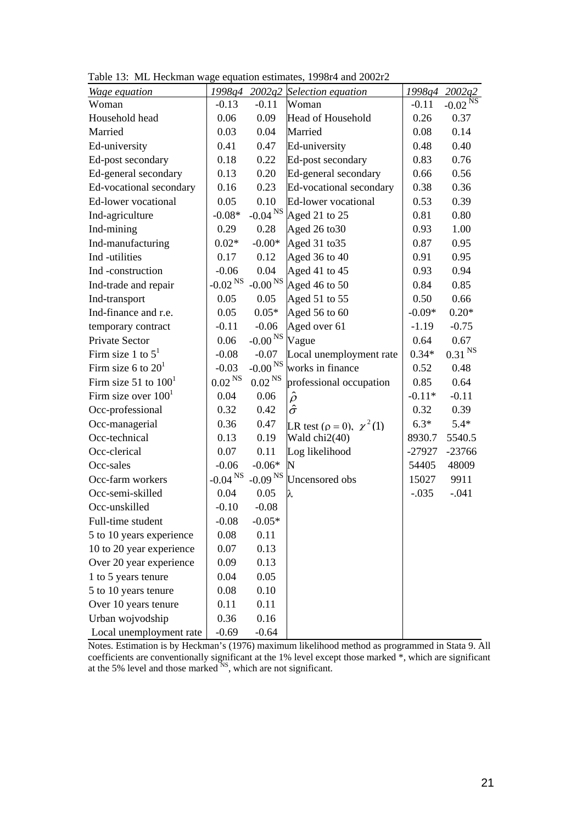Table 13: ML Heckman wage equation estimates, 1998r4 and 2002r2

| Wage equation            |                         |                                  | 1998q4 2002q2 Selection equation    | 1998q4   | 2002q2             |
|--------------------------|-------------------------|----------------------------------|-------------------------------------|----------|--------------------|
| Woman                    | $-0.13$                 | $-0.11$                          | Woman                               | $-0.11$  | $-0.02$            |
| Household head           | 0.06                    | 0.09                             | Head of Household                   | 0.26     | 0.37               |
| Married                  | 0.03                    | 0.04                             | Married                             | 0.08     | 0.14               |
| Ed-university            | 0.41                    | 0.47                             | Ed-university                       | 0.48     | 0.40               |
| Ed-post secondary        | 0.18                    | 0.22                             | Ed-post secondary                   | 0.83     | 0.76               |
| Ed-general secondary     | 0.13                    | 0.20                             | Ed-general secondary                | 0.66     | 0.56               |
| Ed-vocational secondary  | 0.16                    | 0.23                             | Ed-vocational secondary             | 0.38     | 0.36               |
| Ed-lower vocational      | 0.05                    | 0.10                             | Ed-lower vocational                 | 0.53     | 0.39               |
| Ind-agriculture          | $-0.08*$                |                                  | $-0.04$ <sup>NS</sup> Aged 21 to 25 | 0.81     | 0.80               |
| Ind-mining               | 0.29                    | 0.28                             | Aged 26 to 30                       | 0.93     | 1.00               |
| Ind-manufacturing        | $0.02*$                 | $-0.00*$                         | Aged 31 to 35                       | 0.87     | 0.95               |
| Ind -utilities           | 0.17                    | 0.12                             | Aged 36 to 40                       | 0.91     | 0.95               |
| Ind -construction        | $-0.06$                 | 0.04                             | Aged 41 to 45                       | 0.93     | 0.94               |
| Ind-trade and repair     | $-0.02$ <sup>NS</sup>   |                                  | $-0.00$ <sup>NS</sup> Aged 46 to 50 | 0.84     | 0.85               |
| Ind-transport            | 0.05                    | 0.05                             | Aged 51 to 55                       | 0.50     | 0.66               |
| Ind-finance and r.e.     | 0.05                    | $0.05*$                          | Aged 56 to 60                       | $-0.09*$ | $0.20*$            |
| temporary contract       | $-0.11$                 | $-0.06$                          | Aged over 61                        | $-1.19$  | $-0.75$            |
| Private Sector           | 0.06                    | $-0.00NS$ Vague                  |                                     | 0.64     | 0.67               |
| Firm size 1 to $5^1$     | $-0.08$                 | $-0.07$                          | Local unemployment rate             | $0.34*$  | 0.31 <sup>NS</sup> |
| Firm size 6 to $201$     | $-0.03$                 | $\text{-}0.00 \, \mathrm{^{NS}}$ | works in finance                    | 0.52     | 0.48               |
| Firm size 51 to $1001$   | $0.02^{\mathrm{\: NS}}$ | 0.02 <sup>NS</sup>               | professional occupation             | 0.85     | 0.64               |
| Firm size over $1001$    | 0.04                    | 0.06                             | $\hat{\rho}$                        | $-0.11*$ | $-0.11$            |
| Occ-professional         | 0.32                    | 0.42                             | $\hat{\sigma}$                      | 0.32     | 0.39               |
| Occ-managerial           | 0.36                    | 0.47                             | LR test ( $\rho = 0$ ), $\chi^2(1)$ | $6.3*$   | $5.4*$             |
| Occ-technical            | 0.13                    | 0.19                             | Wald chi2(40)                       | 8930.7   | 5540.5             |
| Occ-clerical             | 0.07                    | 0.11                             | Log likelihood                      | $-27927$ | $-23766$           |
| Occ-sales                | $-0.06$                 | $-0.06*$                         | N                                   | 54405    | 48009              |
| Occ-farm workers         | $-0.04$ <sup>NS</sup>   | $-0.09$ <sup>NS</sup>            | Uncensored obs                      | 15027    | 9911               |
| Occ-semi-skilled         | 0.04                    | 0.05                             | λ                                   | $-.035$  | $-.041$            |
| Occ-unskilled            | $-0.10$                 | $-0.08$                          |                                     |          |                    |
| Full-time student        | $-0.08$                 | $-0.05*$                         |                                     |          |                    |
| 5 to 10 years experience | 0.08                    | 0.11                             |                                     |          |                    |
| 10 to 20 year experience | 0.07                    | 0.13                             |                                     |          |                    |
| Over 20 year experience  | 0.09                    | 0.13                             |                                     |          |                    |
| 1 to 5 years tenure      | 0.04                    | 0.05                             |                                     |          |                    |
| 5 to 10 years tenure     | 0.08                    | 0.10                             |                                     |          |                    |
| Over 10 years tenure     | 0.11                    | 0.11                             |                                     |          |                    |
| Urban wojvodship         | 0.36                    | 0.16                             |                                     |          |                    |
| Local unemployment rate  | $-0.69$                 | $-0.64$                          |                                     |          |                    |

Notes. Estimation is by Heckman's (1976) maximum likelihood method as programmed in Stata 9. All coefficients are conventionally significant at the 1% level except those marked \*, which are significant at the 5% level and those marked  $\frac{NS}{N}$ , which are not significant.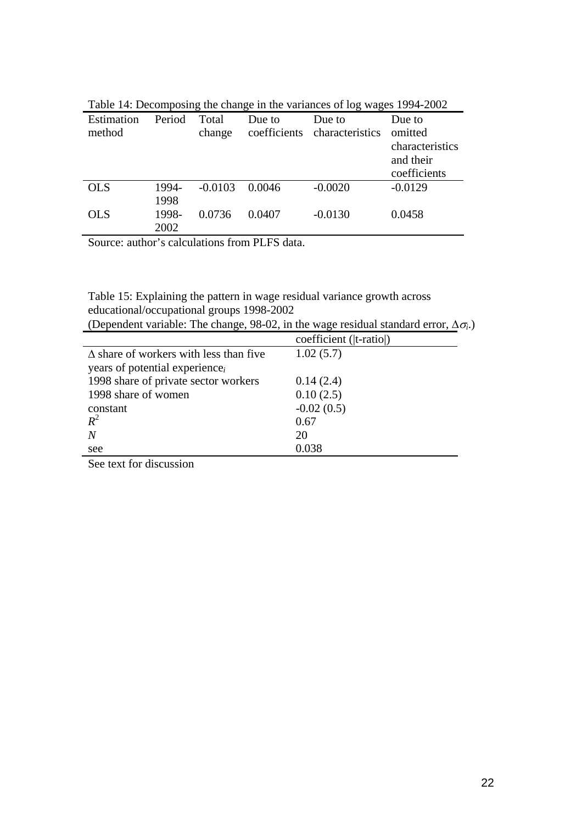| Estimation | Period | Total     | Due to | Due to                       | Due to          |
|------------|--------|-----------|--------|------------------------------|-----------------|
| method     |        | change    |        | coefficients characteristics | omitted         |
|            |        |           |        |                              | characteristics |
|            |        |           |        |                              | and their       |
|            |        |           |        |                              | coefficients    |
| <b>OLS</b> | 1994-  | $-0.0103$ | 0.0046 | $-0.0020$                    | $-0.0129$       |
|            | 1998   |           |        |                              |                 |
| <b>OLS</b> | 1998-  | 0.0736    | 0.0407 | $-0.0130$                    | 0.0458          |
|            | 2002   |           |        |                              |                 |

Table 14: Decomposing the change in the variances of log wages 1994-2002

Source: author's calculations from PLFS data.

Table 15: Explaining the pattern in wage residual variance growth across educational/occupational groups 1998-2002

|  | (Dependent variable: The change, 98-02, in the wage residual standard error, $\Delta \sigma_i$ .) |  |  |  |  |  |  |
|--|---------------------------------------------------------------------------------------------------|--|--|--|--|--|--|
|--|---------------------------------------------------------------------------------------------------|--|--|--|--|--|--|

|                                               | coefficient ( t-ratio ) |
|-----------------------------------------------|-------------------------|
| $\Delta$ share of workers with less than five | 1.02(5.7)               |
| years of potential experience,                |                         |
| 1998 share of private sector workers          | 0.14(2.4)               |
| 1998 share of women                           | 0.10(2.5)               |
| constant                                      | $-0.02(0.5)$            |
| $R^2$                                         | 0.67                    |
| N                                             | 20                      |
| see                                           | 0.038                   |

See text for discussion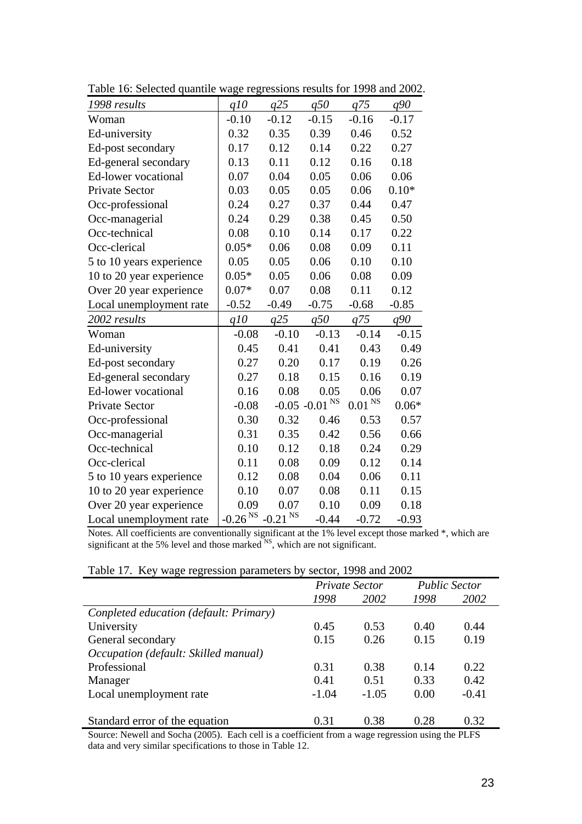| 1998 results             | q10                   | q25                   | q50       | q75               | q90     |
|--------------------------|-----------------------|-----------------------|-----------|-------------------|---------|
| Woman                    | $-0.10$               | $-0.12$               | $-0.15$   | $-0.16$           | $-0.17$ |
| Ed-university            | 0.32                  | 0.35                  | 0.39      | 0.46              | 0.52    |
| Ed-post secondary        | 0.17                  | 0.12                  | 0.14      | 0.22              | 0.27    |
| Ed-general secondary     | 0.13                  | 0.11                  | 0.12      | 0.16              | 0.18    |
| Ed-lower vocational      | 0.07                  | 0.04                  | 0.05      | 0.06              | 0.06    |
| <b>Private Sector</b>    | 0.03                  | 0.05                  | 0.05      | 0.06              | $0.10*$ |
| Occ-professional         | 0.24                  | 0.27                  | 0.37      | 0.44              | 0.47    |
| Occ-managerial           | 0.24                  | 0.29                  | 0.38      | 0.45              | 0.50    |
| Occ-technical            | 0.08                  | 0.10                  | 0.14      | 0.17              | 0.22    |
| Occ-clerical             | $0.05*$               | 0.06                  | 0.08      | 0.09              | 0.11    |
| 5 to 10 years experience | 0.05                  | 0.05                  | 0.06      | 0.10              | 0.10    |
| 10 to 20 year experience | $0.05*$               | 0.05                  | 0.06      | 0.08              | 0.09    |
| Over 20 year experience  | $0.07*$               | 0.07                  | 0.08      | 0.11              | 0.12    |
| Local unemployment rate  | $-0.52$               | $-0.49$               | $-0.75$   | $-0.68$           | $-0.85$ |
| 2002 results             | q10                   | q25                   | q50       | q75               | q90     |
| Woman                    | $-0.08$               | $-0.10$               | $-0.13$   | $-0.14$           | $-0.15$ |
| Ed-university            | 0.45                  | 0.41                  | 0.41      | 0.43              | 0.49    |
| Ed-post secondary        | 0.27                  | 0.20                  | 0.17      | 0.19              | 0.26    |
| Ed-general secondary     | 0.27                  | 0.18                  | 0.15      | 0.16              | 0.19    |
| Ed-lower vocational      | 0.16                  | 0.08                  | 0.05      | 0.06              | 0.07    |
| <b>Private Sector</b>    | $-0.08$               | $-0.05 - 0.01$        | <b>NS</b> | $0.01^{\:\rm NS}$ | $0.06*$ |
| Occ-professional         | 0.30                  | 0.32                  | 0.46      | 0.53              | 0.57    |
| Occ-managerial           | 0.31                  | 0.35                  | 0.42      | 0.56              | 0.66    |
| Occ-technical            | 0.10                  | 0.12                  | 0.18      | 0.24              | 0.29    |
| Occ-clerical             | 0.11                  | 0.08                  | 0.09      | 0.12              | 0.14    |
| 5 to 10 years experience | 0.12                  | 0.08                  | 0.04      | 0.06              | 0.11    |
| 10 to 20 year experience | 0.10                  | 0.07                  | 0.08      | 0.11              | 0.15    |
| Over 20 year experience  | 0.09                  | 0.07                  | 0.10      | 0.09              | 0.18    |
| Local unemployment rate  | $-0.26$ <sup>NS</sup> | $-0.21$ <sup>NS</sup> | $-0.44$   | $-0.72$           | $-0.93$ |

Table 16: Selected quantile wage regressions results for 1998 and 2002.

Notes. All coefficients are conventionally significant at the 1% level except those marked \*, which are significant at the 5% level and those marked  $<sup>NS</sup>$ , which are not significant.</sup>

|                                        | <i>Private Sector</i> |         |      | <b>Public Sector</b> |
|----------------------------------------|-----------------------|---------|------|----------------------|
|                                        | 1998                  | 2002    | 1998 | 2002                 |
| Conpleted education (default: Primary) |                       |         |      |                      |
| University                             | 0.45                  | 0.53    | 0.40 | 0.44                 |
| General secondary                      | 0.15                  | 0.26    | 0.15 | 0.19                 |
| Occupation (default: Skilled manual)   |                       |         |      |                      |
| Professional                           | 0.31                  | 0.38    | 0.14 | 0.22                 |
| Manager                                | 0.41                  | 0.51    | 0.33 | 0.42                 |
| Local unemployment rate                | $-1.04$               | $-1.05$ | 0.00 | $-0.41$              |
|                                        |                       |         |      |                      |
| Standard error of the equation         | 0.31                  | 0.38    | 0.28 | 0.32                 |

Table 17. Key wage regression parameters by sector, 1998 and 2002

Source: Newell and Socha (2005). Each cell is a coefficient from a wage regression using the PLFS data and very similar specifications to those in Table 12.